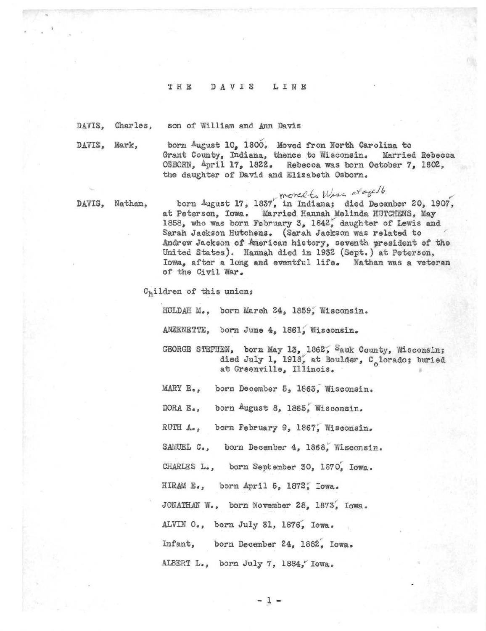## THE DAVIS LINE

DAVIS, Charles, son of William and Ann Davis

DAVIS, Mark,

born August 10, 1800. Moved from North Carolina to Grant County, Indiana, thenee to Wisconsin. Married Sebeoca OSBORN,  $4pri1 17$ , 1822. Rebecca was born October 7, 1802, the daughter of David and Elizabeth Osborn.

%

DAVIS, Hathan,

born August 17, 1837, in Indiana; died December 20, 1907, at Peterson, Iowa. Married Hannah Melinda HUTCHENS, May 1858, who was born February 3, 1842, daughter of Lewis and Sarah Jackson Hutchens. (Sarah Jackson was related to Andrew Jackson of American history, seventh president of the United States). Hannah died in 1932 (Sept.) at Peterson, Iowa, after a long and eventful life. Nathan was a veteran of the Civil War.

 $C<sub>h</sub>$ ildren of this union;

HULDAH M., born March 24, 1859, Wisconsin.

ANZENETTE, born June 4, 1861, Wisconsin.

GEORGE STEPHEN, born May 13, 1862, Sauk County, Wisconsin; died July 1, 1918, at Boulder, C<sub>o</sub>lorado; buried<br>at Greenville, Illinois.

MARY E., born December 5, 1863, Wisconsin.

DORA E., born August 8, 1865, Wisconsin.

RUTH A., born February 9, 1867, Wisconsin.

SAMUEL C., born December 4, 1868, Wisconsin.

CHARLES L., born September 30, 1870, Iowa.

HIRAM E., born April 5, 1872; Iowa.

JONATHAN W., born November 28, 1873, Iowa.

ALVIN O., born July 31, 1876, Iowa.

Infant, born December 24, 1882, Iowa.

ALBERT L., born July 7, 1884, Iowa.

 $-1 -$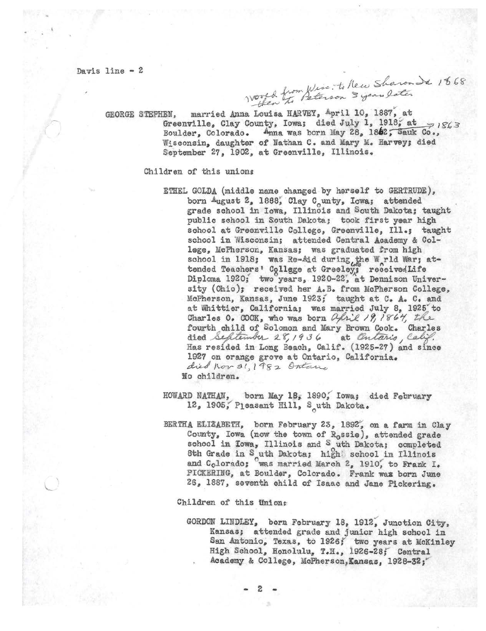Davis line - 2<br>Vouet from Wisc : ti New Sharon de 1868

GEORGE STEPHEN, married Anna Louisa HARVEY, April 10, 1887, at Greenville, Clay County, Iowa; died July 1, 1918; at  $\Rightarrow$  iS63 Boulder, Colorado. Anna was born May 28, 1862; Sauk Co., Wisconsin, daughter of Nathan C. and Mary M. Harvey; died September 27, 1902, at Greenville, Illinois,

Children of this unions

ETHEL GOLDA (middle name changed by herself to GERTRUDE), born  $A$ ugust 2, 1888, Clay C<sub>o</sub>unty, Iowa; attended grade school in Iowa, Illinois and South Dakota; taught public school in South Dakota; took first year high school at Greenville College, Greenville, Ill.; taught school in Wisconsin; attended Central Academy & College, McPherson, Kansas; was graduated from high school in 1918; was Re-Aid during, the W<sub>rld</sub> War; attended Teachers' College at Greeley; receivedLife Diploma 1920; two years, 1920-22, at Dennison University (Ohio); received her A.B. from McPherson College, McPherson, Kansas, June 1923; taught at C. A. C. and at Whittier, California; was married July 8, 1925 to Charles 0.  $COOX$ , who was born  $O_1$ . (9, 1867, the fourth child of Solomon and Mary Brown Cook. Charles died September 28, 1936 at Ontario, Calif. Has resided in Long Beach, Calif. (1925-27) and since 1927 on orange grove at Ontario, California. died non 31, 1982 Ontario No children.

HOWARD NATHAN, born May 18, 1890, Iowa; died February 12, 1905, Pleasant Hill, S<sub>a</sub>uth Dakota.

BERTHA ELIZABETH, born February 23, 1892°, on a farm in Clay County, Iowa (now the town of  $R_0$ ssie), attended grade school in Iowa, Illinois and S uth Dakota; completed 8th Grade in S uth Dakota; high school in Illinois and Colorado; was married March 2, 1910, to Frank I. PICKERING, at Boulder, Colorado. Frank waa born June 26, 1887, seventh ehild of Isaac and Jane Pickering.

Children of this Unions

 $\blacksquare$   $\blacksquare$   $\blacksquare$   $\blacksquare$   $\blacksquare$   $\blacksquare$   $\blacksquare$   $\blacksquare$   $\blacksquare$   $\blacksquare$   $\blacksquare$   $\blacksquare$   $\blacksquare$   $\blacksquare$   $\blacksquare$   $\blacksquare$   $\blacksquare$   $\blacksquare$   $\blacksquare$   $\blacksquare$   $\blacksquare$   $\blacksquare$   $\blacksquare$   $\blacksquare$   $\blacksquare$   $\blacksquare$   $\blacksquare$   $\blacksquare$   $\blacksquare$   $\blacksquare$   $\blacksquare$   $\blacks$ 

GORDON LINDLEY, born February 18, 1912, Junction City, Kansas; attended grade and junior high school in San Antonio, Texas, to 1926; two years at McKinley High School, Honolulu, T.H., 1926-28; Central Academy & College, McPherson, Kansas, 1928-32;